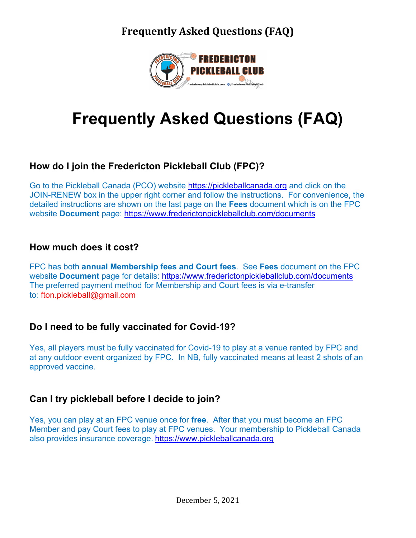

# **Frequently Asked Questions (FAQ)**

### **How do I join the Fredericton Pickleball Club (FPC)?**

Go to the Pickleball Canada (PCO) website https://pickleballcanada.org and click on the JOIN-RENEW box in the upper right corner and follow the instructions. For convenience, the detailed instructions are shown on the last page on the **Fees** document which is on the FPC website **Document** page: https://www.frederictonpickleballclub.com/documents

#### **How much does it cost?**

FPC has both **annual Membership fees and Court fees**. See **Fees** document on the FPC website **Document** page for details: https://www.frederictonpickleballclub.com/documents The preferred payment method for Membership and Court fees is via e-transfer to: fton.pickleball@gmail.com

### **Do I need to be fully vaccinated for Covid-19?**

Yes, all players must be fully vaccinated for Covid-19 to play at a venue rented by FPC and at any outdoor event organized by FPC. In NB, fully vaccinated means at least 2 shots of an approved vaccine.

### **Can I try pickleball before I decide to join?**

Yes, you can play at an FPC venue once for **free**. After that you must become an FPC Member and pay Court fees to play at FPC venues. Your membership to Pickleball Canada also provides insurance coverage. https://www.pickleballcanada.org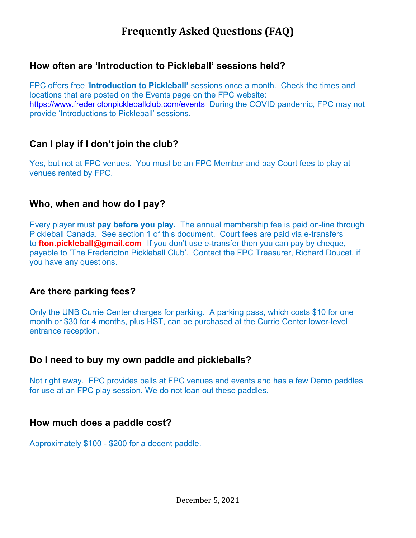#### **How often are 'Introduction to Pickleball' sessions held?**

FPC offers free '**Introduction to Pickleball'** sessions once a month. Check the times and locations that are posted on the Events page on the FPC website: https://www.frederictonpickleballclub.com/events During the COVID pandemic, FPC may not provide 'Introductions to Pickleball' sessions.

#### **Can I play if I don't join the club?**

Yes, but not at FPC venues. You must be an FPC Member and pay Court fees to play at venues rented by FPC.

#### **Who, when and how do I pay?**

Every player must **pay before you play.** The annual membership fee is paid on-line through Pickleball Canada. See section 1 of this document. Court fees are paid via e-transfers to **fton.pickleball@gmail.com** If you don't use e-transfer then you can pay by cheque, payable to 'The Fredericton Pickleball Club'. Contact the FPC Treasurer, Richard Doucet, if you have any questions.

#### **Are there parking fees?**

Only the UNB Currie Center charges for parking. A parking pass, which costs \$10 for one month or \$30 for 4 months, plus HST, can be purchased at the Currie Center lower-level entrance reception.

#### **Do I need to buy my own paddle and pickleballs?**

Not right away. FPC provides balls at FPC venues and events and has a few Demo paddles for use at an FPC play session. We do not loan out these paddles.

#### **How much does a paddle cost?**

Approximately \$100 - \$200 for a decent paddle.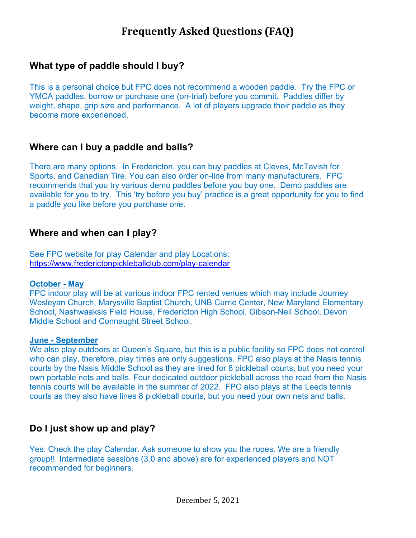#### **What type of paddle should I buy?**

This is a personal choice but FPC does not recommend a wooden paddle. Try the FPC or YMCA paddles, borrow or purchase one (on-trial) before you commit. Paddles differ by weight, shape, grip size and performance. A lot of players upgrade their paddle as they become more experienced.

#### **Where can I buy a paddle and balls?**

There are many options. In Fredericton, you can buy paddles at Cleves, McTavish for Sports, and Canadian Tire. You can also order on-line from many manufacturers. FPC recommends that you try various demo paddles before you buy one. Demo paddles are available for you to try. This 'try before you buy' practice is a great opportunity for you to find a paddle you like before you purchase one.

#### **Where and when can I play?**

See FPC website for play Calendar and play Locations: https://www.frederictonpickleballclub.com/play-calendar

#### **October - May**

FPC indoor play will be at various indoor FPC rented venues which may include Journey Wesleyan Church, Marysville Baptist Church, UNB Currie Center, New Maryland Elementary School, Nashwaaksis Field House, Fredericton High School, Gibson-Neil School, Devon Middle School and Connaught Street School.

#### **June - September**

We also play outdoors at Queen's Square, but this is a public facility so FPC does not control who can play, therefore, play times are only suggestions. FPC also plays at the Nasis tennis courts by the Nasis Middle School as they are lined for 8 pickleball courts, but you need your own portable nets and balls. Four dedicated outdoor pickleball across the road from the Nasis tennis courts will be available in the summer of 2022. FPC also plays at the Leeds tennis courts as they also have lines 8 pickleball courts, but you need your own nets and balls.

#### **Do I just show up and play?**

Yes. Check the play Calendar. Ask someone to show you the ropes. We are a friendly group!! Intermediate sessions (3.0 and above) are for experienced players and NOT recommended for beginners.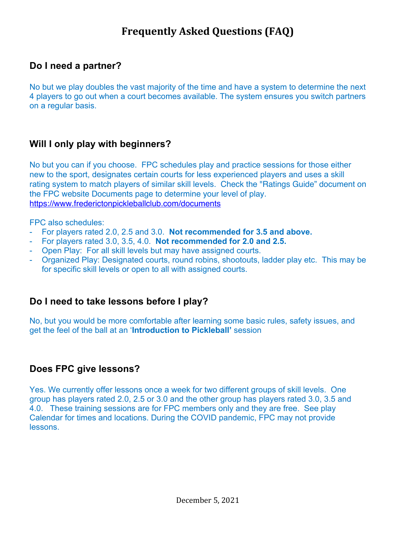#### **Do I need a partner?**

No but we play doubles the vast majority of the time and have a system to determine the next 4 players to go out when a court becomes available. The system ensures you switch partners on a regular basis.

#### **Will I only play with beginners?**

No but you can if you choose. FPC schedules play and practice sessions for those either new to the sport, designates certain courts for less experienced players and uses a skill rating system to match players of similar skill levels. Check the "Ratings Guide" document on the FPC website Documents page to determine your level of play. https://www.frederictonpickleballclub.com/documents

FPC also schedules:

- For players rated 2.0, 2.5 and 3.0. **Not recommended for 3.5 and above.**
- For players rated 3.0, 3.5, 4.0. **Not recommended for 2.0 and 2.5.**
- Open Play: For all skill levels but may have assigned courts.
- Organized Play: Designated courts, round robins, shootouts, ladder play etc. This may be for specific skill levels or open to all with assigned courts.

#### **Do I need to take lessons before I play?**

No, but you would be more comfortable after learning some basic rules, safety issues, and get the feel of the ball at an '**Introduction to Pickleball'** session

#### **Does FPC give lessons?**

Yes. We currently offer lessons once a week for two different groups of skill levels. One group has players rated 2.0, 2.5 or 3.0 and the other group has players rated 3.0, 3.5 and 4.0. These training sessions are for FPC members only and they are free. See play Calendar for times and locations. During the COVID pandemic, FPC may not provide lessons.